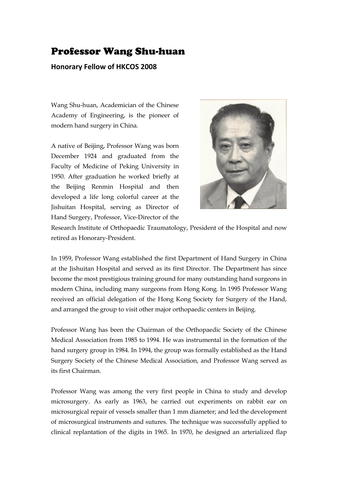## Professor Wang Shu-huan

## **Honorary Fellow of HKCOS 2008**

Wang Shu-huan, Academician of the Chinese Academy of Engineering, is the pioneer of modern hand surgery in China.

A native of Beijing, Professor Wang was born December 1924 and graduated from the Faculty of Medicine of Peking University in 1950. After graduation he worked briefly at the Beijing Renmin Hospital and then developed a life long colorful career at the Jishuitan Hospital, serving as Director of Hand Surgery, Professor, Vice-Director of the



Research Institute of Orthopaedic Traumatology, President of the Hospital and now retired as Honorary-President.

In 1959, Professor Wang established the first Department of Hand Surgery in China at the Jishuitan Hospital and served as its first Director. The Department has since become the most prestigious training ground for many outstanding hand surgeons in modern China, including many surgeons from Hong Kong. In 1995 Professor Wang received an official delegation of the Hong Kong Society for Surgery of the Hand, and arranged the group to visit other major orthopaedic centers in Beijing.

Professor Wang has been the Chairman of the Orthopaedic Society of the Chinese Medical Association from 1985 to 1994. He was instrumental in the formation of the hand surgery group in 1984. In 1994, the group was formally established as the Hand Surgery Society of the Chinese Medical Association, and Professor Wang served as its first Chairman.

Professor Wang was among the very first people in China to study and develop microsurgery. As early as 1963, he carried out experiments on rabbit ear on microsurgical repair of vessels smaller than 1 mm diameter; and led the development of microsurgical instruments and sutures. The technique was successfully applied to clinical replantation of the digits in 1965. In 1970, he designed an arterialized flap